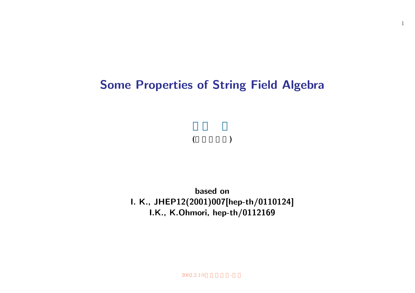# **Some Properties of String Field Algebra**

1

## **(**京大・基研**)**

**based on I. K., JHEP12(2001)007[hep-th/0110124] I.K., K.Ohmori, hep-th/0112169**

 $2002.2.1@$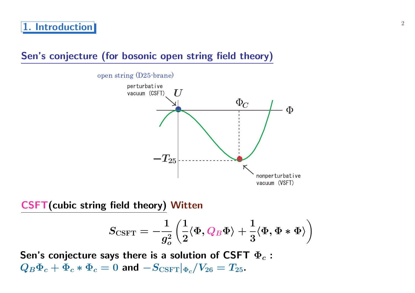## **Sen's conjecture (for bosonic open string field theory)**



**CSFT(cubic string field theory) Witten**

$$
S_{\mathrm{CSFT}}=-\frac{1}{g_o^2}\left(\frac{1}{2}\langle \Phi, Q_B\Phi\rangle+\frac{1}{3}\langle \Phi, \Phi*\Phi\rangle\right)
$$

**Sen's conjecture says there is a solution of CSFT Φ***<sup>c</sup>* **:**  $Q_B \Phi_c + \Phi_c * \Phi_c = 0$  and  $-S_{\text{CSFT}}|_{\Phi_c}/V_{26} = T_{25}$ .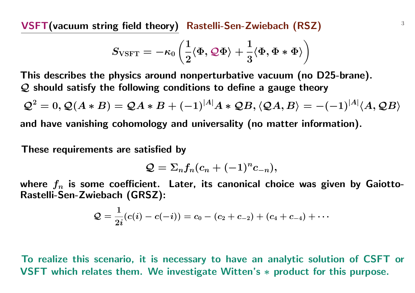<sup>3</sup> **VSFT(vacuum string field theory) Rastelli-Sen-Zwiebach (RSZ)**

$$
S_{\text{VSFT}}=-\kappa_0\left(\frac{1}{2}\langle \Phi, {\cal Q}\Phi\rangle+\frac{1}{3}\langle \Phi, \Phi*\Phi\rangle\right)
$$

**This describes the physics around nonperturbative vacuum (no D25-brane).** *Q* **should satisfy the following conditions to define a gauge theory**

$$
Q^2 = 0, Q(A * B) = QA * B + (-1)^{|A|}A * QB, \langle QA, B \rangle = -(-1)^{|A|} \langle A, QB \rangle
$$

**and have vanishing cohomology and universality (no matter information).**

**These requirements are satisfied by**

$$
\mathcal{Q}=\Sigma_nf_n(c_n+(-1)^nc_{-n}),
$$

**where** *f<sup>n</sup>* **is some coefficient. Later, its canonical choice was given by Gaiotto-Rastelli-Sen-Zwiebach (GRSZ):**

$$
\mathcal{Q}=\frac{1}{2i}(c(i)-c(-i))=c_0-(c_2+c_{-2})+(c_4+c_{-4})+\cdots
$$

**To realize this scenario, it is necessary to have an analytic solution of CSFT or VSFT which relates them. We investigate Witten's** *∗* **product for this purpose.**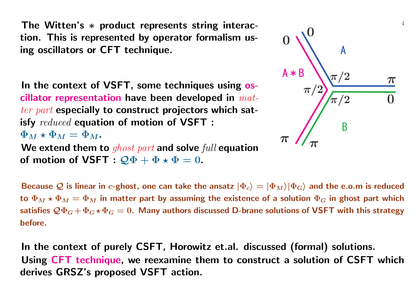**The Witten's** *∗* **product represents string interaction. This is represented by operator formalism using oscillators or CFT technique.**

**In the context of VSFT, some techniques using oscillator representation have been developed in** *matter part* **especially to construct projectors which satisfy** *reduced* **equation of motion of VSFT :**  $\Phi_M \star \Phi_M = \Phi_M$ . **We extend them to** *ghost part* **and solve** *full* **equation**

**of motion of VSFT :**  $\mathcal{Q}\Phi + \Phi \star \Phi = 0$ .



**Because**  $Q$  is linear in *c*-ghost, one can take the ansatz  $|\Phi_c\rangle = |\Phi_M\rangle|\Phi_G\rangle$  and the e.o.m is reduced **to**  $\Phi_M \star \Phi_M = \Phi_M$  in matter part by assuming the existence of a solution  $\Phi_G$  in ghost part which satisfies  $\mathcal{Q}\Phi_G + \Phi_G \star \Phi_G = 0$ . Many authors discussed D-brane solutions of VSFT with this strategy **before.**

**In the context of purely CSFT, Horowitz et.al. discussed (formal) solutions. Using CFT technique, we reexamine them to construct a solution of CSFT which derives GRSZ's proposed VSFT action.**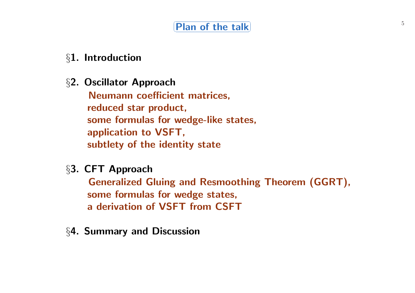# *§***1. Introduction**

*§***2. Oscillator Approach**

**Neumann coefficient matrices, reduced star product, some formulas for wedge-like states, application to VSFT, subtlety of the identity state**

*§***3. CFT Approach**

**Generalized Gluing and Resmoothing Theorem (GGRT), some formulas for wedge states, a derivation of VSFT from CSFT**

*§***4. Summary and Discussion**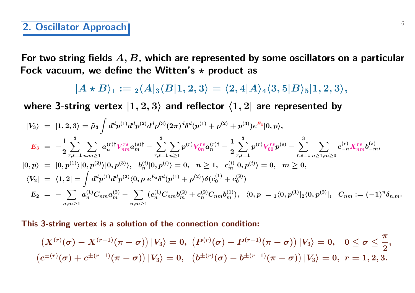### **2. Oscillator Approach**

**For two string fields** *A, B***, which are represented by some oscillators on a particular** Fock vacuum, we define the Witten's  $\star$  product as

 $|A \star B\rangle_1 := {}_2\langle A|_3\langle B|1,2,3\rangle = \langle 2,4|A\rangle_4\langle 3,5|B\rangle_5|1,2,3\rangle,$ 

where 3-string vertex  $|1,2,3\rangle$  and reflector  $\langle 1,2|$  are represented by

$$
\begin{array}{lcl} |V_{3}\rangle&=&|1,2,3\rangle=\tilde{\mu}_{3}\int d^{d}p^{(1)}d^{d}p^{(2)}d^{d}p^{(3)}(2\pi)^{d}\delta^{d}(p^{(1)}+p^{(2)}+p^{(3)})e^{E_{3}}|0,p\rangle,\\ E_{3}&=&-\frac{1}{2}\sum_{r,s=1}^{3}\sum_{n,m\geq 1}a^{(r)\dagger}_{nm}V_{nm}^{rs}a^{(s)\dagger}_{m}-\sum_{r,s=1}^{3}\sum_{n\geq 1}p^{(r)}V_{0n}^{rs}a^{(r)\dagger}_{n}-\frac{1}{2}\sum_{r,s=1}^{3}p^{(r)}V_{00}^{rs}p^{(s)}-\sum_{r,s=1}^{3}\sum_{n\geq 1,n\geq 0}c_{-n}^{(r)}X_{nm}^{rs}b_{-m}^{(s)},\\ |0,p\rangle&=&|0,p^{(1)}\rangle|0,p^{(2)}\rangle|0,p^{(3)}\rangle,\;\;b^{(i)}_{n}|0,p^{(i)}\rangle=0,\;\;n\geq 1,\;\;c^{(i)}_{m}|0,p^{(i)}\rangle=0,\;\;m\geq 0,\\ \langle V_{2}|\;\;=\;\langle 1,2|\;\;=\int d^{d}p^{(1)}d^{d}p^{(2)}\langle 0,p|e^{E_{2}}\delta^{d}(p^{(1)}+p^{(2)})\delta(c^{(1)}_{0}+c^{(2)}_{0})\\ E_{2}&=&-\sum_{n,m\geq 1}a^{(1)}_{n}C_{nm}a^{(2)}_{m}-\sum_{n,m\geq 1}(c^{(1)}_{n}C_{nm}b^{(2)}_{m}+c^{(2)}_{n}C_{nm}b^{(1)}_{m}),\;\;\langle 0,p|=\phantom{}_{1}\langle 0,p^{(1)}|_{2}\langle 0,p^{(2)}|,\;\;C_{nm}:=(-1)^{n}\delta_{n,m}. \end{array}
$$

**This 3-string vertex is a solution of the connection condition:**

$$
\left(X^{(r)}(\sigma)-X^{(r-1)}(\pi-\sigma)\right)|V_3\rangle=0,\ \left(P^{(r)}(\sigma)+P^{(r-1)}(\pi-\sigma)\right)|V_3\rangle=0,\quad 0\leq\sigma\leq\frac{\pi}{2},\\ \left(c^{\pm(r)}(\sigma)+c^{\pm(r-1)}(\pi-\sigma)\right)|V_3\rangle=0,\ \ \left(b^{\pm(r)}(\sigma)-b^{\pm(r-1)}(\pi-\sigma)\right)|V_3\rangle=0,\ r=1,2,3.
$$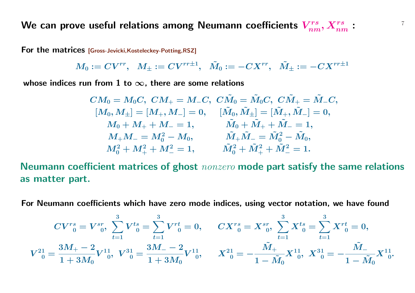We can prove useful relations among Neumann coefficients  $\boldsymbol{V}_{nm}^{rs},\boldsymbol{X}_{nm}^{rs}:$ 

**For the matrices [Gross-Jevicki,Kosteleckey-Potting,RSZ]**

$$
M_0:=CV^{rr},\;\;M_{\pm}:=CV^{rr\pm 1},\;\;\tilde M_0:=-CX^{rr},\;\;\tilde M_{\pm}:=-CX^{rr\pm 1}
$$

**whose indices run from 1 to** *∞***, there are some relations**

$$
\begin{aligned} CM_0 &= M_0C,\; CM_+ = M_-C,\; C\tilde{M}_0 = \tilde{M}_0C,\; C\tilde{M}_+ = \tilde{M}_-C,\\ [M_0,M_\pm] &= [M_+,M_-] = 0,\quad \ [\tilde{M}_0,\tilde{M}_\pm] = [\tilde{M}_+,\tilde{M}_-] = 0,\\ M_0 + M_+ + M_- &= 1,\quad \ \ \tilde{M}_0 + \tilde{M}_+ + \tilde{M}_- = 1,\\ M_+M_- &= M_0^2 - M_0,\quad \ \ \, \tilde{M}_+ \tilde{M}_- = \tilde{M}_0^2 - \tilde{M}_0,\\ M_0^2 + M_+^2 + M_-^2 &= 1,\quad \ \ \, \tilde{M}_0^2 + \tilde{M}_+^2 + \tilde{M}_-^2 = 1. \end{aligned}
$$

**Neumann coefficient matrices of ghost** *nonzero* **mode part satisfy the same relations as matter part.**

**For Neumann coefficients which have zero mode indices, using vector notation, we have found**

$$
CV^{rs}_{\;\;0}=V^{sr}_{\;\;0},\;\sum^{3}_{t=1}V^{ts}_{\;\;0}=\sum^{3}_{t=1}V^{rt}_{\;\;0}=0,\qquad CX^{rs}_{\;\;0}=X^{sr}_{\;\;0},\;\sum^{3}_{t=1}X^{ts}_{\;\;0}=\sum^{3}_{t=1}X^{rt}_{\;\;0}=0,\\ V^{21}_{\;\;0}=\frac{3M_{+}-2}{1+3M_{0}}V^{11}_{\;\;0},\;\;V^{31}_{\;\;0}=-\frac{3M_{-}-2}{1-M_{0}}V^{11}_{\;\;0},\;\;X^{22}_{\;\;0}=-\frac{\tilde{M}_{+}}{1-\tilde{M}_{0}}X^{11}_{\;\;0},\;X^{31}_{\;\;0}=-\frac{\tilde{M}_{-}}{1-\tilde{M}_{0}}X^{11}_{\;\;0}.
$$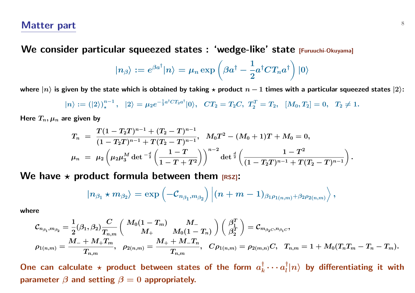**We consider particular squeezed states : 'wedge-like' state [Furuuchi-Okuyama]**

$$
|n_{\beta}\rangle:=e^{\beta a^{\dagger}}|n\rangle=\mu_n\exp\left(\beta a^{\dagger}-\frac{1}{2}a^{\dagger}CT_n a^{\dagger}\right)|0\rangle
$$

where  $|n\rangle$  is given by the state which is obtained by taking  $\star$  product  $n-1$  times with a particular squeezed states  $|2\rangle$ :

$$
|n\rangle := (|2\rangle)^{n-1}_\star, \quad |2\rangle = \mu_2 e^{-\frac{1}{2}a^\dagger C T_2 a^\dagger} |0\rangle, \quad CT_2 = T_2 C, \quad T_2^T = T_2, \quad [M_0, T_2] = 0, \quad T_2 \neq 1.
$$

Here  $T_n, \mu_n$  are given by

$$
\begin{array}{l} T_n \;=\; \displaystyle{\frac{T(1-T_2T)^{n-1}+(T_2-T)^{n-1}}{(1-T_2T)^{n-1}+T(T_2-T)^{n-1}}},\;\; M_0T^2-(M_0+1)T+M_0=0, \\[2mm] \mu_n \;=\; \mu_2\left(\mu_2\mu_3^M\det^{-\frac{d}{2}}\left(\frac{1-T}{1-T+T^2}\right)\right)^{n-2}\det^{\frac{d}{2}}\left(\frac{1-T^2}{(1-T_2T)^{n-1}+T(T_2-T)^{n-1}}\right).\end{array}
$$

We have  $\star$  product formula between them  $[RS]$ :

$$
|n_{\beta_1}\star m_{\beta_2}\rangle=\exp\left(-\mathcal{C}_{n_{\beta_1},m_{\beta_2}}\right)\left|(n+m-1)_{\beta_1\rho_{1(n,m)}+\beta_2\rho_{2(n,m)}}\right\rangle,
$$

**where**

$$
\mathcal{C}_{n_{\beta_1},m_{\beta_2}}=\frac{1}{2}(\beta_1,\beta_2)\frac{C}{T_{n,m}}\left(\begin{array}{cc} M_0(1-T_m) & M_- \\ M_+ & M_0(1-T_n) \end{array}\right)\left(\begin{array}{c} \beta_1^T \\ \beta_2^T \end{array}\right)=\mathcal{C}_{m_{\beta_2C},n_{\beta_1C}},\\ \rho_{1(n,m)}=\frac{M_-+M_+T_m}{T_{n,m}},\quad \rho_{2(n,m)}=\frac{M_++M_-T_n}{T_{n,m}},\quad C\rho_{1(n,m)}=\rho_{2(m,n)}C,\quad T_{n,m}=1+M_0(T_nT_m-T_n-T_m).
$$

One can calculate  $\star$  product between states of the form  $a_k^{\dagger}$  $\frac{\dagger}{k}\cdots a_l^{\dagger}$  $\int\limits_{l}^{\tau}\!\!|n\rangle$  by differentiating it with **parameter** *β* **and setting** *β* **= 0 appropriately.**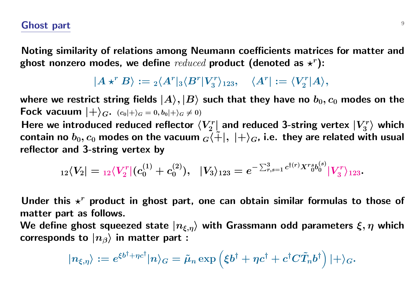#### **Ghost part** <sup>9</sup>

**Noting similarity of relations among Neumann coefficients matrices for matter and** ghost nonzero modes, we define  $reduced$  product (denoted as  $\star^r$ ):

> $|A \star^r B\rangle := {}_2\langle A^r |_3\langle B^r | V^r_3\rangle$  $\langle A^r|:=\langle V^r_2\rangle$  $\binom{rr}{2}A\rangle,$

where we restrict string fields  $|A\rangle, |B\rangle$  such that they have no  $b_0, c_0$  modes on the **Fock vacuum**  $|+\rangle_G$ .  $(c_0|+\rangle_G = 0, b_0|+\rangle_G \neq 0)$ 

Here we introduced reduced reflector  $\langle V_2^r \rangle$  $\mathbb{Z}_2^{rr}$  and reduced 3-string vertex  $|V_3^r|$  $\binom{rr}{3}$  which contain no  $b_0$ ,  $c_0$  modes on the vacuum  $G\{\tilde{+}\}, \ |+\rangle_G$ , i.e. they are related with usual **reflector and 3-string vertex by**

$$
{}_{12}\langle V_2| = {}_{12}\langle V^r_2 | (c_0^{(1)} + c_0^{(2)}), \hskip 1mm |V_3\rangle_{123} = e^{-\sum_{r,s=1}^3 c^{\dagger(r)} X^r \delta^{(s)}_0} |V^r_3\rangle_{123}.
$$

Under this  $x^r$  product in ghost part, one can obtain similar formulas to those of **matter part as follows.**

**We define ghost squeezed state** *|nξ,ηi* **with Grassmann odd parameters** *ξ, η* **which corresponds to**  $|n_{\beta}\rangle$  in matter part :

$$
|n_{\xi,\eta}\rangle:=e^{\xi b^{\dagger}+\eta c^{\dagger}}|n\rangle_G=\tilde{\mu}_n\exp\left(\xi b^{\dagger}+\eta c^{\dagger}+c^{\dagger}C\tilde{T}_n b^{\dagger}\right)|+\rangle_G.
$$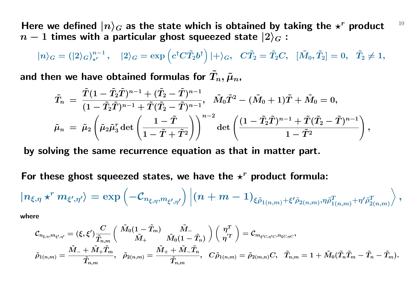Here we defined  $|n\rangle_G$  as the state which is obtained by taking the  $\star^r$  product  $10$  $n-1$  **times with a particular ghost squeezed state**  $|2\rangle_G$  **:** 

$$
|n\rangle_G=(|2\rangle_G)_{\star^r}^{n-1},\quad |2\rangle_G=\exp\left(c^\dagger C\tilde{T}_2b^\dagger\right)|+\rangle_G,\quad C\tilde{T}_2=\tilde{T}_2C,\quad [\tilde{M}_0,\tilde{T}_2]=0,\quad \tilde{T}_2\neq 1,
$$

and then we have obtained formulas for  $T_n, \tilde{\mu}_n$ ,

$$
\begin{aligned} \tilde T_n\,=\,\frac{\tilde T(1-\tilde T_2\tilde T)^{n-1}+(\tilde T_2-\tilde T)^{n-1}}{(1-\tilde T_2\tilde T)^{n-1}+\tilde T(\tilde T_2-\tilde T)^{n-1}},\ \ \tilde M_0\tilde T^2-(\tilde M_0+1)\tilde T+\tilde M_0=0,\\ \tilde\mu_n\,=\,\tilde\mu_2\left(\tilde\mu_2\tilde\mu_3^r\det\left(\frac{1-\tilde T}{1-\tilde T+\tilde T^2}\right)\right)^{n-2}\det\left(\frac{(1-\tilde T_2\tilde T)^{n-1}+\tilde T(\tilde T_2-\tilde T)^{n-1}}{1-\tilde T^2}\right), \end{aligned}
$$

**by solving the same recurrence equation as that in matter part.**

For these ghost squeezed states, we have the  $x^r$  product formula:

$$
|n_{\xi,\eta}\star^r m_{\xi',\eta'}\rangle=\exp\left(-\mathcal{C}_{n_{\xi,\eta},m_{\xi',\eta'}}\right)\left|(n+m-1)_{\xi\tilde{\rho}_{1(n,m)}+\xi'\tilde{\rho}_{2(n,m)},\eta\tilde{\rho}^T_{1(n,m)}+\eta'\tilde{\rho}^T_{2(n,m)}}\right>,
$$

**where**

$$
\mathcal{C}_{n_{\xi,\eta},m_{\xi',\eta'}} = (\xi,\xi') \frac{C}{\tilde{T}_{n,m}} \bigg( \frac{\tilde{M}_0 (1-\tilde{T}_m)}{\tilde{M}_+} \frac{\tilde{M}_-}{\tilde{M}_0 (1-\tilde{T}_n)} \bigg) \bigg( \frac{\eta^T}{\eta^{'T}} \bigg) = \mathcal{C}_{m_{\xi' C, \eta' C},n_{\xi C, \eta C}},\\ \tilde{\rho}_{1(n,m)} = \frac{\tilde{M}_- + \tilde{M}_+ \tilde{T}_m}{\tilde{T}_{n,m}}, \quad \tilde{\rho}_{2(n,m)} = \frac{\tilde{M}_+ + \tilde{M}_- \tilde{T}_n}{\tilde{T}_{n,m}}, \quad C \tilde{\rho}_{1(n,m)} = \tilde{\rho}_{2(m,n)} C, \quad \tilde{T}_{n,m} = 1 + \tilde{M}_0 (\tilde{T}_n \tilde{T}_m - \tilde{T}_n - \tilde{T}_m).
$$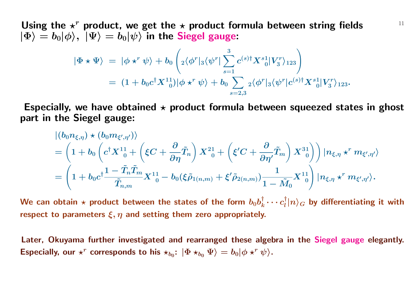Using the  $\star^r$  product, we get the  $\star$  product formula between string fields  $11$  $|\Phi\rangle = b_0|\phi\rangle, \ |\Psi\rangle = b_0|\psi\rangle$  in the Siegel gauge:

$$
\begin{array}{lll} \displaystyle |\Phi\star\Psi\rangle\;=\; |\phi\star^r\psi\rangle +b_0\left({}_2\langle\phi^r|_3\langle\psi^r|\sum_{s=1}^3c^{(s)\dag}X^s{}_0^1|V_3^r\rangle_{123}\right)\\[10pt] \displaystyle =\; (1+b_0c^\dag X^{11}_{\;\;0})|\phi\star^r\psi\rangle +b_0\sum_{s=2,3}{}_2\langle\phi^r|_3\langle\psi^r|c^{(s)\dag}X^s{}_0^1|V_3^r\rangle_{123}.\end{array}
$$

Especially, we have obtained  $\star$  product formula between squeezed states in ghost **part in the Siegel gauge:**

$$
\begin{split} &\ket{(b_0n_{\xi,\eta})\star(b_0m_{\xi',\eta'})}\\ &=\left(1+b_0\left(c^\dagger X^{11}_{\phantom{10}}+\left(\xi C+\frac{\partial}{\partial\eta}\tilde{T}_n\right)X^{21}_{\phantom{10}}+\left(\xi' C+\frac{\partial}{\partial\eta'}\tilde{T}_m\right)X^{31}_{\phantom{10}}\right)\right)|n_{\xi,\eta}\star^r m_{\xi',\eta'}\rangle\\ &=\left(1+b_0c^\dagger\frac{1-\tilde{T}_n\tilde{T}_m}{\tilde{T}_{n,m}}X^{11}_{\phantom{10}}-b_0(\xi\tilde{\rho}_{1(n,m)}+\xi'\tilde{\rho}_{2(n,m)})\frac{1}{1-\tilde{M}_0}X^{11}_{\phantom{10}}\right)|n_{\xi,\eta}\star^r m_{\xi',\eta'}\rangle. \end{split}
$$

We can obtain  $\star$  product between the states of the form  $b_0 b_k^\dagger$  $\frac{\dagger}{k} \cdots c^{\dagger}_{l}$  $\int\limits_0^{\tau} |n\rangle_G$  by differentiating it with **respect to parameters** *ξ, η* **and setting them zero appropriately.**

**Later, Okuyama further investigated and rearranged these algebra in the Siegel gauge elegantly.** Especially, our  $\star^r$  corresponds to his  $\star_{b_0}$ :  $|\Phi \star_{b_0} \Psi \rangle = b_0 |\phi \star^r \psi \rangle$ .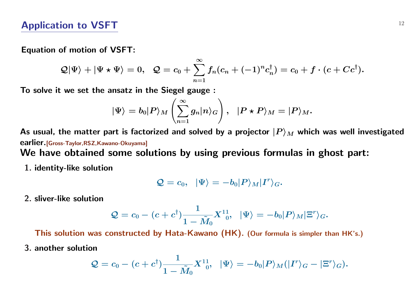#### **Equation of motion of VSFT:**

$$
\mathcal{Q}|\Psi\rangle+|\Psi\star\Psi\rangle=0,\ \ \mathcal{Q}=c_0+\sum_{n=1}^\infty f_n(c_n+(-1)^nc_n^\dagger)=c_0+f\cdot(c+Cc^\dagger).
$$

*∞*

**To solve it we set the ansatz in the Siegel gauge :**

$$
|\Psi\rangle = b_0|P\rangle_M \left(\sum_{n=1}^\infty g_n|n\rangle_G\right), \;\; |P\star P\rangle_M = |P\rangle_M.
$$

As usual, the matter part is factorized and solved by a projector  $|P\rangle_M$  which was well investigated **earlier.[Gross-Taylor,RSZ,Kawano-Okuyama]**

**We have obtained some solutions by using previous formulas in ghost part:**

**1. identity-like solution**

$$
\mathcal{Q}=c_0,\;\; |\Psi\rangle=-b_0|P\rangle_M|I^r\rangle_G.
$$

**2. sliver-like solution**

$$
\mathcal{Q}=c_0-(c+c^\dagger)\frac{1}{1-\tilde{M}_0}X^{11}_{\phantom{1}0},\;\;|\Psi\rangle=-b_0|P\rangle_M|\Xi^r\rangle_G.
$$

**This solution was constructed by Hata-Kawano (HK). (Our formula is simpler than HK's.)**

**3. another solution**

$$
\mathcal{Q}=c_0-(c+c^\dagger)\frac{1}{1-\tilde{M}_0}X^{11}_{\phantom{1}0},\;\;|\Psi\rangle=-b_0|P\rangle_M(|I^r\rangle_G-|\Xi^r\rangle_G).
$$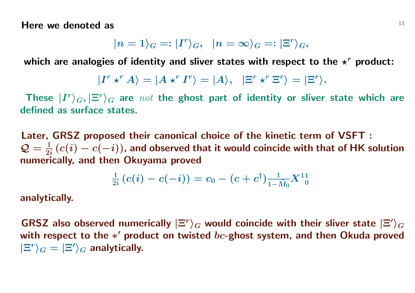**Here we denoted as** <sup>13</sup>

$$
|n=1\rangle_G=:|I^r\rangle_G,\;\; |n=\infty\rangle_G=:|\Xi^r\rangle_G,
$$

which are analogies of identity and sliver states with respect to the  $\star^r$  product:

$$
|I^r \star^r A\rangle = |A \star^r I^r\rangle = |A\rangle, \ \ |\Xi^r \star^r \Xi^r\rangle = |\Xi^r\rangle.
$$

These  $|I^r\rangle_G, |\Xi^r\rangle_G$  are  $\textit{not}$  the ghost part of identity or sliver state which are **defined as surface states.**

**Later, GRSZ proposed their canonical choice of the kinetic term of VSFT :**  $Q = \frac{1}{2}$ **2***i* **(***c***(***i***)** *− c***(***−i***)), and observed that it would coincide with that of HK solution numerically, and then Okuyama proved**

$$
\tfrac{1}{2i}\left(c(i)-c(-i)\right) = c_0 - (c+c^\dagger)\tfrac{1}{1-\tilde{M}_0}X^{11}_{\ \ \, 0}
$$

**analytically.**

 $GRSZ$  also observed numerically  $|\Xi^r\rangle_G$  would coincide with their sliver state  $|\Xi'\rangle_G$ with respect to the <sup>\*</sup> product on twisted  $bc$ -ghost system, and then Okuda proved  $|E^{r}\rangle_{G} = |E'\rangle_{G}$  analytically.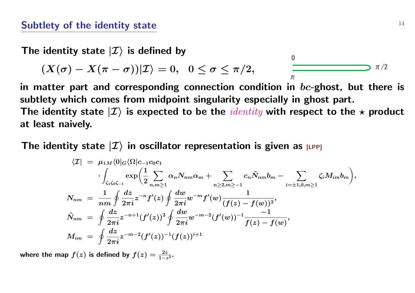#### **Subtlety of the identity state**  $14$

The identity state  $|I\rangle$  is defined by

$$
(X(\sigma)-X(\pi-\sigma))|\mathcal{I}\rangle=0,\;\;0\le\sigma\le\pi/2,\qquad\qquad\overline{\qquad \qquad }\qquad \qquad \overline{\qquad \qquad }\qquad \qquad \overline{\qquad \qquad }\qquad \qquad \overline{\qquad \qquad }\qquad \overline{\qquad \qquad }\qquad \overline{\qquad \qquad }\qquad \overline{\qquad \qquad }\qquad \overline{\qquad \qquad }\qquad \overline{\qquad \qquad }\qquad \overline{\qquad \qquad }\qquad \overline{\qquad \qquad }\qquad \overline{\qquad \qquad }\qquad \overline{\qquad \qquad }\qquad \overline{\qquad \qquad }\qquad \overline{\qquad \qquad }\qquad \overline{\qquad \qquad }\qquad \overline{\qquad \qquad }\qquad \overline{\qquad \qquad }\qquad \overline{\qquad \qquad }\qquad \overline{\qquad \qquad }\qquad \overline{\qquad \qquad }\qquad \overline{\qquad \qquad }\qquad \overline{\qquad \qquad }\qquad \overline{\qquad \qquad }\qquad \overline{\qquad \qquad }\qquad \overline{\qquad \qquad }\qquad \overline{\qquad \qquad }\qquad \overline{\qquad \qquad }\qquad \overline{\qquad \qquad }\qquad \overline{\qquad \qquad }\qquad \overline{\qquad \qquad }\qquad \overline{\qquad \qquad }\qquad \overline{\qquad \qquad }\qquad \overline{\qquad \qquad }\qquad \overline{\qquad \qquad }\qquad \overline{\qquad \qquad }\qquad \overline{\qquad \qquad }\qquad \overline{\qquad \qquad }\qquad \overline{\qquad \qquad }\qquad \overline{\qquad \qquad }\qquad \overline{\qquad \qquad }\qquad \overline{\qquad \qquad }\qquad \overline{\qquad \qquad }\qquad \overline{\qquad \qquad }\qquad \overline{\qquad \qquad }\qquad \overline{\qquad \qquad }\qquad \overline{\qquad \qquad }\qquad \overline{\qquad \qquad }\qquad \overline{\qquad \qquad }\qquad \overline{\qquad \qquad }\qquad \overline{\qquad \qquad }\qquad \overline{\qquad \qquad }\qquad \overline{\qquad \qquad }\qquad \overline{\qquad \qquad }\qquad \overline{\qquad \qquad }\qquad \overline{\qquad \qquad }\qquad \overline{\qquad \qquad }\qquad \overline{\qquad \qquad }\qquad \overline{\qquad \qquad }\qquad \overline
$$

 $\sim$ 

 $\Omega$ 

Î

**in matter part and corresponding connection condition in** *bc***-ghost, but there is subtlety which comes from midpoint singularity especially in ghost part.** The identity state  $|I\rangle$  is expected to be the *identity* with respect to the  $\star$  product **at least naively.**

The identity state  $|I\rangle$  in oscillator representation is given as [LPP]

$$
\langle \mathcal{I}| \; = \; \mu_{1M} \langle 0|_G \langle \Omega | c_{-1} c_0 c_1 \\ \cdot \int_{\zeta_1 \zeta_0 \zeta_{-1}} \exp \left( \frac{1}{2} \sum_{n,m \geq 1} \alpha_n N_{nm} \alpha_m + \sum_{n \geq 2, m \geq -1} c_n \tilde{N}_{nm} b_m - \sum_{i = \pm 1, 0, m \geq 1} \zeta_i M_{im} b_m \right),
$$
\n
$$
N_{nm} \; = \; \frac{1}{nm} \oint \frac{dz}{2\pi i} z^{-n} f'(z) \oint \frac{dw}{2\pi i} w^{-m} f'(w) \frac{1}{(f(z) - f(w))^2},
$$
\n
$$
\tilde{N}_{nm} \; = \; \oint \frac{dz}{2\pi i} z^{-n+1} (f'(z))^2 \oint \frac{dw}{2\pi i} w^{-m-2} (f'(w))^{-1} \frac{-1}{f(z) - f(w)},
$$
\n
$$
M_{im} \; = \; \oint \frac{dz}{2\pi i} z^{-m-2} (f'(z))^{-1} (f(z))^{i+1}
$$

where the map  $f(z)$  is defined by  $f(z) = \frac{2z}{1-z^2}$ .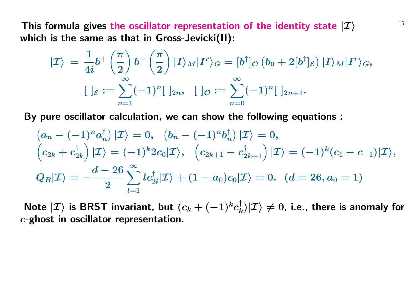This formula gives the oscillator representation of the identity state  $|\mathcal{I}\rangle$   $\qquad \qquad$   $^{15}$ **which is the same as that in Gross-Jevicki(II):**

$$
|\mathcal{I}\rangle\,=\,\frac{1}{4i}b^+\left(\frac{\pi}{2}\right)b^-\left(\frac{\pi}{2}\right)|I\rangle_M|I^r\rangle_G=[b^\dagger]_{\mathcal{O}}\left(b_0+2[b^\dagger]_{\mathcal{E}}\right)|I\rangle_M|I^r\rangle_G,\\ [\,]\varepsilon:=\sum_{n=1}^\infty(-1)^n[\,]_{2n},\ \, [\,]\varepsilon:=\sum_{n=0}^\infty(-1)^n[\,]_{2n+1}.
$$

**By pure oscillator calculation, we can show the following equations :**

$$
(a_n - (-1)^n a_n^{\dagger}) |\mathcal{I}\rangle = 0, \quad (b_n - (-1)^n b_n^{\dagger}) |\mathcal{I}\rangle = 0,
$$
  
\n
$$
(c_{2k} + c_{2k}^{\dagger}) |\mathcal{I}\rangle = (-1)^k 2c_0 |\mathcal{I}\rangle, \quad (c_{2k+1} - c_{2k+1}^{\dagger}) |\mathcal{I}\rangle = (-1)^k (c_1 - c_{-1}) |\mathcal{I}\rangle,
$$
  
\n
$$
Q_B |\mathcal{I}\rangle = -\frac{d - 26}{2} \sum_{l=1}^{\infty} lc_{2l}^{\dagger} |\mathcal{I}\rangle + (1 - a_0)c_0 |\mathcal{I}\rangle = 0. \quad (d = 26, a_0 = 1)
$$

 $\mathsf{Note} \ket{\mathcal{I}}$  is BRST invariant, but  $(c_k + (-1)^kc_k^\dagger)$  $\binom{n}{k}|\mathcal{I}\rangle\neq 0$ , i.e., there is anomaly for *c***-ghost in oscillator representation.**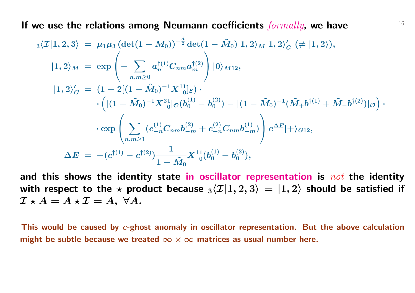<sup>16</sup> **If we use the relations among Neumann coefficients** *formally***, we have**

$$
\begin{array}{ll} \ _{3}\langle \mathcal{I}|1,2,3\rangle &=\ \mu_1\mu_3\,(\det(1-M_0))^{-\frac{d}{2}}\det(1-\tilde{M}_0)|1,2\rangle_M|1,2\rangle'_G\ (\neq |1,2\rangle),\\ \\ |1,2\rangle_M&=\ \exp\left(-\sum_{n,m\geq 0}a_n^{\dagger(1)}C_{nm}a_m^{\dagger(2)}\right)|0\rangle_{M12},\\ \\ |1,2\rangle'_G&=\ (1-2[(1-\tilde{M}_0)^{-1}X^{11}]_{\mathcal{E}})\cdot\\ &\qquad\qquad\cdot\left([(1-\tilde{M}_0)^{-1}X^{21}_{\;\;0}]\sigma(b_0^{(1)}-b_0^{(2)})-[(1-\tilde{M}_0)^{-1}(\tilde{M}_+b^{\dagger(1)}+\tilde{M}_-b^{\dagger(2)})]_{\mathcal{O}}\right)\cdot\\ &\qquad\qquad\qquad\cdot\exp\left(\sum_{n,m\geq 1}(c_{-n}^{(1)}C_{nm}b_{-m}^{(2)}+c_{-n}^{(2)}C_{nm}b_{-m}^{(1)})\right)e^{\Delta E}|+\rangle_{G12},\\ \\ \Delta E&=\ - (c^{\dagger(1)}-c^{\dagger(2)})\frac{1}{1-\tilde{M}_0}X^{11}_{\;\;0}(b_0^{(1)}-b_0^{(2)}), \end{array}
$$

**and this shows the identity state in oscillator representation is** *not* **the identity** with respect to the  $\star$  product because  ${}_3\langle \mathcal{I}|1,2,3\rangle = |1,2\rangle$  should be satisfied if  $\mathcal{I} \star A = A \star \mathcal{I} = A$ ,  $\forall A$ .

**This would be caused by** *c***-ghost anomaly in oscillator representation. But the above calculation might be subtle because we treated** *∞ × ∞* **matrices as usual number here.**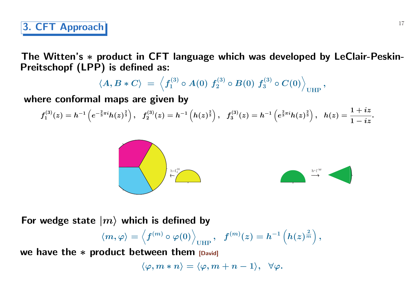**The Witten's** *∗* **product in CFT language which was developed by LeClair-Peskin-Preitschopf (LPP) is defined as:**

$$
\langle A, B\ast C \rangle \ = \ \Big\langle f_1^{(3)} \circ A(0) \ f_2^{(3)} \circ B(0) \ f_3^{(3)} \circ C(0) \Big\rangle_\text{UHP} \, ,
$$

**where conformal maps are given by**

$$
f_1^{(3)}(z)=h^{-1}\left(e^{-\frac{2}{3}\pi i}h(z)^{\frac{2}{3}}\right),\;\;f_2^{(3)}(z)=h^{-1}\left(h(z)^{\frac{2}{3}}\right),\;\;f_3^{(3)}(z)=h^{-1}\left(e^{\frac{2}{3}\pi i}h(z)^{\frac{2}{3}}\right),\;\;h(z)=\frac{1+iz}{1-iz}.
$$



For wedge state  $|m\rangle$  which is defined by

$$
\langle m,\varphi\rangle = \left\langle f^{(m)}\circ\varphi(0)\right\rangle_{\text{UHP}},\quad f^{(m)}(z) = h^{-1}\left(h(z)^{\frac{2}{m}}\right),
$$

**we have the** *∗* **product between them [David]** 

$$
\langle \varphi,m\ast n\rangle=\langle \varphi,m+n-1\rangle,\;\;\forall \varphi.
$$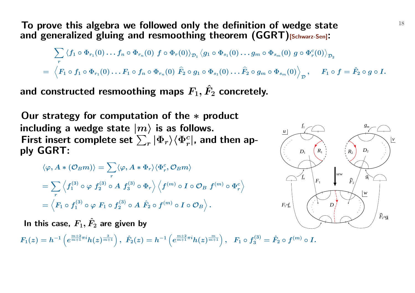**To prove this algebra we followed only the definition of wedge state** 18 **and generalized gluing and resmoothing theorem (GGRT)[Schwarz-Sen]:**

$$
\sum_r \left\langle f_1\circ \Phi_{r_1}(0)\dots f_n\circ \Phi_{r_n}(0)\ f\circ \Phi_r(0)\right\rangle_{\mathcal{D}_1} \left\langle g_1\circ \Phi_{s_1}(0)\dots g_m\circ \Phi_{s_m}(0)\ g\circ \Phi_r^c(0)\right\rangle_{\mathcal{D}_2}\\=\left\langle F_1\circ f_1\circ \Phi_{r_1}(0)\dots F_1\circ f_n\circ \Phi_{r_n}(0)\ \widehat{F}_2\circ g_1\circ \Phi_{s_1}(0)\dots \widehat{F}_2\circ g_m\circ \Phi_{s_m}(0)\right\rangle_{\mathcal{D}},\quad F_1\circ f=\hat{F}_2\circ g\circ I.
$$

and constructed resmoothing maps  $F_1$ ,  $\hat{F}_2$  concretely.

**Our strategy for computation of the** *∗* **product** including a wedge state  $|m\rangle$  is as follows. First insert complete set  $\sum_{r} |\Phi_{r}\rangle \langle \Phi_{r}^{c}|$ , and then ap**ply GGRT:**

$$
\langle \varphi, A * (\mathcal{O}_B m) \rangle = \sum_r \langle \varphi, A * \Phi_r \rangle \langle \Phi_r^c, \mathcal{O}_B m \rangle
$$
  
= 
$$
\sum_r \left\langle f_1^{(3)} \circ \varphi \ f_2^{(3)} \circ A \ f_3^{(3)} \circ \Phi_r \right\rangle \left\langle f^{(m)} \circ I \circ \mathcal{O}_B \ f^{(m)} \circ \Phi_r^c \right\rangle
$$
  
= 
$$
\left\langle F_1 \circ f_1^{(3)} \circ \varphi \ F_1 \circ f_2^{(3)} \circ A \ \hat{F}_2 \circ f^{(m)} \circ I \circ \mathcal{O}_B \right\rangle.
$$

In this case,  $F_1, \hat{F}_2$  are given by

 $F_1(z)=h^{-1}\left(e^{\frac{m+2}{m+1}\pi i}h(z)^{\frac{3}{m+1}}\right),\,\, \hat{F}_2(z)=h^{-1}\left(e^{\frac{m+2}{m+1}\pi i}h(z)^{\frac{m}{m+1}}\right),\,\,\, \,F_1\circ f_3^{(3)}=\hat{F}_2\circ f^{(m)}\circ I.$ 

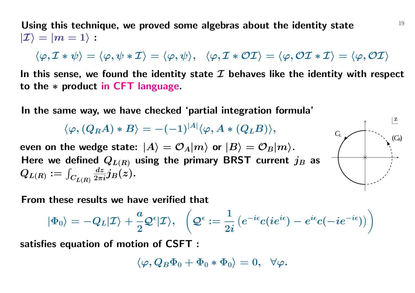Using this technique, we proved some algebras about the identity state  $19$  $|\mathcal{I}\rangle = |m=1\rangle$  :

$$
\langle \varphi, \mathcal{I} * \psi \rangle = \langle \varphi, \psi * \mathcal{I} \rangle = \langle \varphi, \psi \rangle, \quad \langle \varphi, \mathcal{I} * \mathcal{OI} \rangle = \langle \varphi, \mathcal{OI} * \mathcal{I} \rangle = \langle \varphi, \mathcal{OI} \rangle
$$

**In this sense, we found the identity state** *I* **behaves like the identity with respect to the** *∗* **product in CFT language.**

**In the same way, we have checked 'partial integration formula'**

 $\langle \varphi , (Q_R A) * B \rangle = - (-1)^{|A|} \langle \varphi , A * (Q_L B) \rangle ,$ 

even on the wedge state:  $|A\rangle = \mathcal{O}_A|m\rangle$  or  $|B\rangle = \mathcal{O}_B|m\rangle$ . Here we defined  $Q_{L(R)}$  using the primary BRST current  $j_B$  as  $Q_{L(R)} := \int$  $C_{\pmb{L}(\pmb{R})}$  $\frac{dz}{2\pi i}j_B(z)$ .



**From these results we have verified that**

$$
|\Phi_0\rangle=-Q_L|\mathcal{I}\rangle+\frac{a}{2}\mathcal{Q}^\epsilon|\mathcal{I}\rangle,\ \ \, \left(\mathcal{Q}^\epsilon:=\frac{1}{2i}\left(e^{-i\epsilon}c(ie^{i\epsilon})-e^{i\epsilon}c(-ie^{-i\epsilon})\right)\right)
$$

**satisfies equation of motion of CSFT :**

$$
\langle \varphi, Q_B \Phi_0 + \Phi_0 * \Phi_0 \rangle = 0, \;\; \forall \varphi.
$$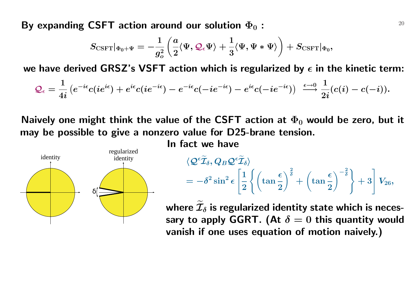By expanding CSFT action around our solution  $\Phi_0$  :  $100$ 

$$
S_{\text{CSFT}}|_{\Phi_0+\Psi}=-\frac{1}{g_o^2}\left(\frac{a}{2}\langle\Psi,\mathcal{Q}_\epsilon\Psi\rangle+\frac{1}{3}\langle\Psi,\Psi*\Psi\rangle\right)+S_{\text{CSFT}}|_{\Phi_0},
$$

we have derived GRSZ's VSFT action which is regularized by  $\epsilon$  in the kinetic term:

$$
\mathcal{Q}_\epsilon=\frac{1}{4i}\left(e^{-i\epsilon}c(ie^{i\epsilon})+e^{i\epsilon}c(ie^{-i\epsilon})-e^{-i\epsilon}c(-ie^{-i\epsilon})-e^{i\epsilon}c(-ie^{-i\epsilon})\right)\ \stackrel{\epsilon\rightarrow 0}{\longrightarrow}\frac{1}{2i}(c(i)-c(-i)).
$$

**Naively one might think the value of the CSFT action at**  $\Phi_0$  **would be zero, but it may be possible to give a nonzero value for D25-brane tension.**

**In fact we have**



$$
\begin{aligned} &\langle \mathcal{Q}^\epsilon \widetilde{\mathcal{I}}_\delta, Q_B \mathcal{Q}^\epsilon \widetilde{\mathcal{I}}_\delta \rangle \\ &= -\delta^2 \sin^2 \epsilon \left[ \frac{1}{2} \left\lbrace \left( \tan \frac{\epsilon}{2} \right)^{\frac{2}{\delta}} + \left( \tan \frac{\epsilon}{2} \right)^{-\frac{2}{\delta}} \right\rbrace + 3 \right] V_{26}, \end{aligned}
$$

where  $\mathcal{I}_{\delta}$  is regularized identity state which is necessary to apply GGRT. (At  $\delta = 0$  this quantity would **vanish if one uses equation of motion naively.)**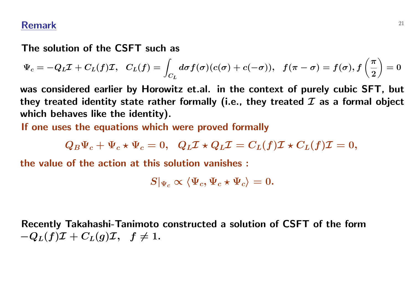#### **Remark** <sup>21</sup>

#### **The solution of the CSFT such as**

$$
\Psi_c=-Q_L\mathcal{I}+C_L(f)\mathcal{I},~~C_L(f)=\int_{C_L}d\sigma f(\sigma)(c(\sigma)+c(-\sigma)),~~f(\pi-\sigma)=f(\sigma),f\left(\frac{\pi}{2}\right)=0
$$

**was considered earlier by Horowitz et.al. in the context of purely cubic SFT, but they treated identity state rather formally (i.e., they treated** *I* **as a formal object which behaves like the identity).**

**If one uses the equations which were proved formally**

$$
Q_B \Psi_c + \Psi_c \star \Psi_c = 0, \quad Q_L \mathcal{I} \star Q_L \mathcal{I} = C_L(f) \mathcal{I} \star C_L(f) \mathcal{I} = 0,
$$

**the value of the action at this solution vanishes :**

$$
S|_{\Psi_c} \propto \langle \Psi_c, \Psi_c \star \Psi_c \rangle = 0.
$$

**Recently Takahashi-Tanimoto constructed a solution of CSFT of the form**  $-Q_L(f)\mathcal{I} + C_L(g)\mathcal{I}, \quad f \neq 1$ .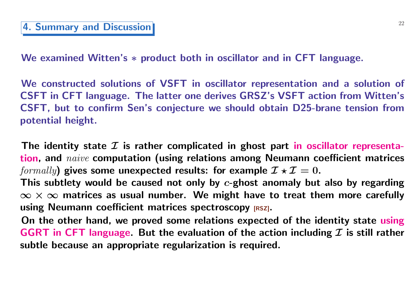**We examined Witten's** *∗* **product both in oscillator and in CFT language.**

**We constructed solutions of VSFT in oscillator representation and a solution of CSFT in CFT language. The latter one derives GRSZ's VSFT action from Witten's CSFT, but to confirm Sen's conjecture we should obtain D25-brane tension from potential height.**

**The identity state** *I* **is rather complicated in ghost part in oscillator representation, and** *naive* **computation (using relations among Neumann coefficient matrices** *formally*) gives some unexpected results: for example  $\mathcal{I} \star \mathcal{I} = 0$ .

**This subtlety would be caused not only by** *c***-ghost anomaly but also by regarding** *∞ × ∞* **matrices as usual number. We might have to treat them more carefully using Neumann coefficient matrices spectroscopy [RSZ].**

**On the other hand, we proved some relations expected of the identity state using GGRT in CFT language. But the evaluation of the action including** *I* **is still rather subtle because an appropriate regularization is required.**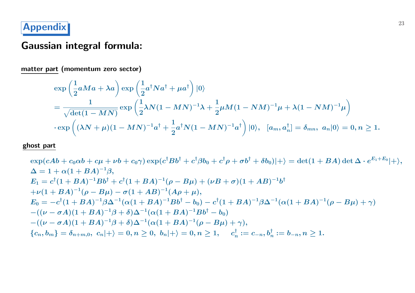# <sup>23</sup> **Appendix**

# **Gaussian integral formula:**

**matter part (momentum zero sector)**

$$
\exp\left(\frac{1}{2}aMa + \lambda a\right) \exp\left(\frac{1}{2}a^{\dagger}Na^{\dagger} + \mu a^{\dagger}\right)|0\rangle
$$
  
= 
$$
\frac{1}{\sqrt{\det(1 - MN)}} \exp\left(\frac{1}{2}\lambda N(1 - MN)^{-1}\lambda + \frac{1}{2}\mu M(1 - NM)^{-1}\mu + \lambda(1 - NM)^{-1}\mu\right)
$$
  

$$
\cdot \exp\left((\lambda N + \mu)(1 - MN)^{-1}a^{\dagger} + \frac{1}{2}a^{\dagger}N(1 - MN)^{-1}a^{\dagger}\right)|0\rangle, \quad [a_m, a_n^{\dagger}] = \delta_{mn}, \ a_n|0\rangle = 0, n \ge 1.
$$

**ghost part**

$$
\exp(cAb + c_0\alpha b + c\mu + \nu b + c_0\gamma) \exp(c^{\dagger}Bb^{\dagger} + c^{\dagger}\beta b_0 + c^{\dagger}\rho + \sigma b^{\dagger} + \delta b_0)|+\rangle = \det(1 + BA) \det \Delta \cdot e^{E_1+E_0}|+\rangle,
$$
  
\n
$$
\Delta = 1 + \alpha(1 + BA)^{-1}\beta,
$$
  
\n
$$
E_1 = c^{\dagger}(1 + BA)^{-1}Bb^{\dagger} + c^{\dagger}(1 + BA)^{-1}(\rho - B\mu) + (\nu B + \sigma)(1 + AB)^{-1}b^{\dagger}
$$
  
\n
$$
+\nu(1 + BA)^{-1}(\rho - B\mu) - \sigma(1 + AB)^{-1}(A\rho + \mu),
$$
  
\n
$$
E_0 = -c^{\dagger}(1 + BA)^{-1}\beta\Delta^{-1}(\alpha(1 + BA)^{-1}Bb^{\dagger} - b_0) - c^{\dagger}(1 + BA)^{-1}\beta\Delta^{-1}(\alpha(1 + BA)^{-1}(\rho - B\mu) + \gamma)
$$
  
\n
$$
-( (\nu - \sigma A)(1 + BA)^{-1}\beta + \delta)\Delta^{-1}(\alpha(1 + BA)^{-1}Bb^{\dagger} - b_0)
$$
  
\n
$$
-( (\nu - \sigma A)(1 + BA)^{-1}\beta + \delta)\Delta^{-1}(\alpha(1 + BA)^{-1}(\rho - B\mu) + \gamma),
$$
  
\n
$$
\{c_n, b_m\} = \delta_{n+m,0}, \ c_n|+\rangle = 0, n \ge 0, \ b_n|+\rangle = 0, n \ge 1, \quad c_n^{\dagger} := c_{-n}, b_n^{\dagger} := b_{-n}, n \ge 1.
$$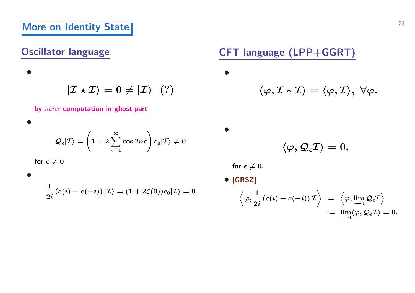# **More on Identity State** 24

## **Oscillator language**

 $|\mathcal{I} \star \mathcal{I}\rangle = 0 \neq |\mathcal{I}\rangle$  (?)

**by** *naive* **computation in ghost part**

$$
\mathcal{Q}_\epsilon|\mathcal{I}\rangle = \left(1+2\sum_{n=1}^\infty \cos2n\epsilon\right)c_0|\mathcal{I}\rangle \neq 0
$$

for  $\epsilon \neq 0$ 

*•*

*•*

*•*

$$
\frac{1}{2i}\left(c(i)-c(-i)\right)\ket{\mathcal{I}}=(1+2\zeta(0))c_0\vert\mathcal{I}\rangle=0
$$

**CFT language (LPP+GGRT)**

 $\langle \varphi, \mathcal{I} * \mathcal{I} \rangle = \langle \varphi, \mathcal{I} \rangle, \ \forall \varphi.$ 

 $\langle \varphi, \mathcal{Q}_\epsilon \mathcal{I} \rangle = 0,$ 

for  $\epsilon \neq 0$ .

*•* **[GRSZ]**

*•*

*•*

$$
\left\langle \varphi, \frac{1}{2i}\left(c(i)-c(-i)\right) {\cal I} \right\rangle \;\; = \;\; \left\langle \varphi, \lim_{\epsilon \to 0} {\cal Q}_\epsilon {\cal I} \right\rangle \\\; := \; \lim_{\epsilon \to 0} \langle \varphi, {\cal Q}_\epsilon {\cal I} \rangle = 0.
$$